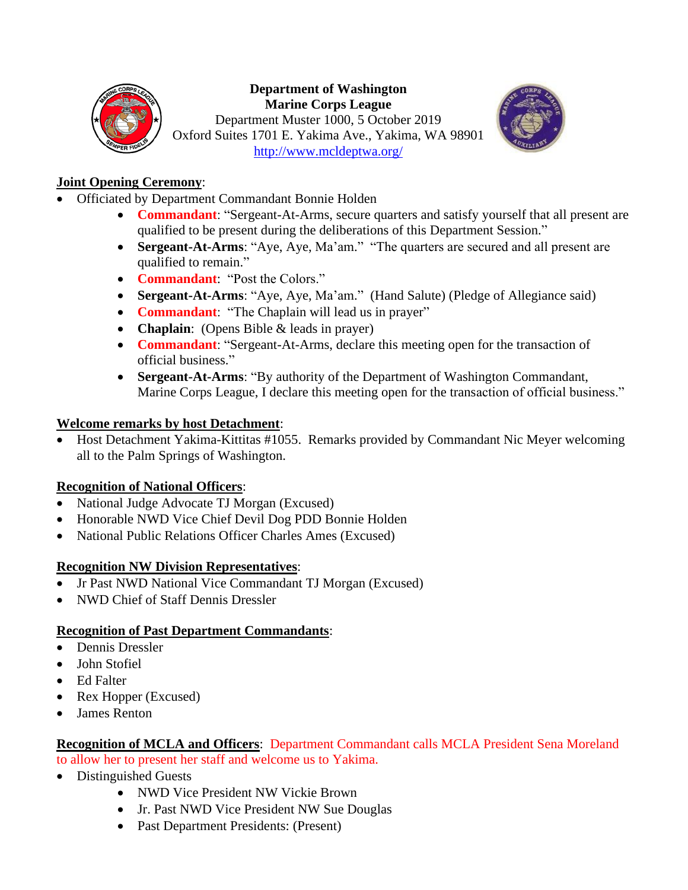

#### **Department of Washington Marine Corps League**

Department Muster 1000, 5 October 2019 Oxford Suites 1701 E. Yakima Ave., Yakima, WA 98901 <http://www.mcldeptwa.org/>



### **Joint Opening Ceremony**:

- Officiated by Department Commandant Bonnie Holden
	- **Commandant**: "Sergeant-At-Arms, secure quarters and satisfy yourself that all present are qualified to be present during the deliberations of this Department Session."
	- **Sergeant-At-Arms**: "Aye, Aye, Ma'am." "The quarters are secured and all present are qualified to remain."
	- **Commandant**: "Post the Colors."
	- **Sergeant-At-Arms**: "Aye, Aye, Ma'am." (Hand Salute) (Pledge of Allegiance said)
	- **Commandant**: "The Chaplain will lead us in prayer"
	- **Chaplain**: (Opens Bible & leads in prayer)
	- **Commandant**: "Sergeant-At-Arms, declare this meeting open for the transaction of official business."
	- **Sergeant-At-Arms**: "By authority of the Department of Washington Commandant, Marine Corps League, I declare this meeting open for the transaction of official business."

### **Welcome remarks by host Detachment**:

• Host Detachment Yakima-Kittitas #1055. Remarks provided by Commandant Nic Meyer welcoming all to the Palm Springs of Washington.

### **Recognition of National Officers**:

- National Judge Advocate TJ Morgan (Excused)
- Honorable NWD Vice Chief Devil Dog PDD Bonnie Holden
- National Public Relations Officer Charles Ames (Excused)

### **Recognition NW Division Representatives**:

- Jr Past NWD National Vice Commandant TJ Morgan (Excused)
- NWD Chief of Staff Dennis Dressler

### **Recognition of Past Department Commandants**:

- Dennis Dressler
- John Stofiel
- Ed Falter
- Rex Hopper (Excused)
- James Renton

### **Recognition of MCLA and Officers**: Department Commandant calls MCLA President Sena Moreland

- to allow her to present her staff and welcome us to Yakima.
- Distinguished Guests
	- NWD Vice President NW Vickie Brown
	- Jr. Past NWD Vice President NW Sue Douglas
	- Past Department Presidents: (Present)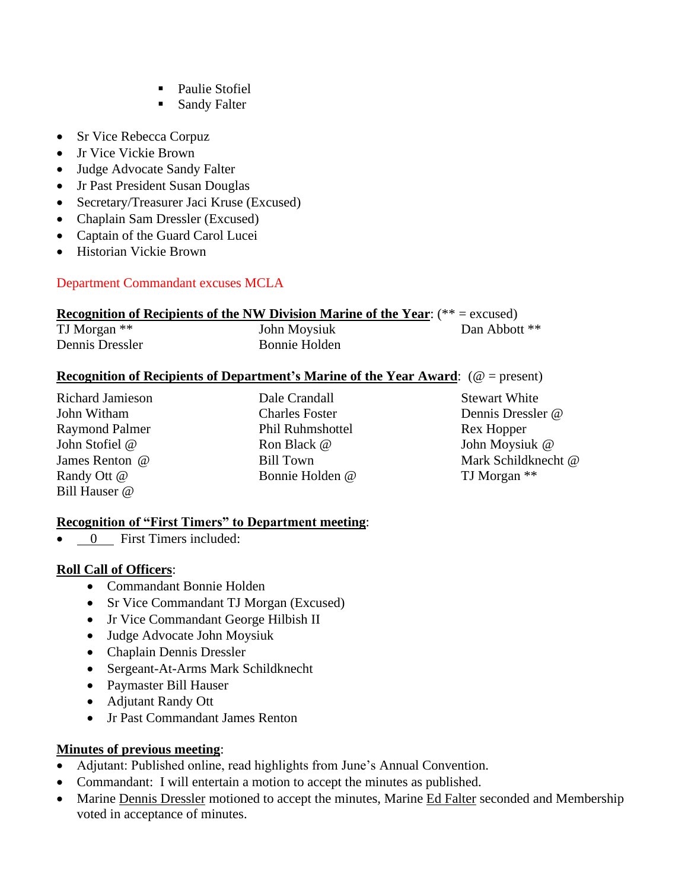- Paulie Stofiel
- Sandy Falter
- Sr Vice Rebecca Corpuz
- Jr Vice Vickie Brown
- Judge Advocate Sandy Falter
- Jr Past President Susan Douglas
- Secretary/Treasurer Jaci Kruse (Excused)
- Chaplain Sam Dressler (Excused)
- Captain of the Guard Carol Lucei
- Historian Vickie Brown

#### Department Commandant excuses MCLA

### **Recognition of Recipients of the NW Division Marine of the Year**: (\*\* = excused)

| TJ Morgan **    | John Moysiuk  | Dan Abbott ** |
|-----------------|---------------|---------------|
| Dennis Dressler | Bonnie Holden |               |

#### **Recognition of Recipients of Department's Marine of the Year Award**: (@ = present)

Bill Hauser @

Richard Jamieson **Dale Crandall** Stewart White Raymond Palmer Phil Ruhmshottel Rex Hopper John Stofiel @ Ron Black @ John Moysiuk @ Randy Ott @ Bonnie Holden @ TJ Morgan \*\*

John Witham Charles Foster Dennis Dressler @ James Renton @ Bill Town Mark Schildknecht @

#### **Recognition of "First Timers" to Department meeting**:

0 First Timers included:

#### **Roll Call of Officers**:

- Commandant Bonnie Holden
- Sr Vice Commandant TJ Morgan (Excused)
- Jr Vice Commandant George Hilbish II
- Judge Advocate John Moysiuk
- Chaplain Dennis Dressler
- Sergeant-At-Arms Mark Schildknecht
- Paymaster Bill Hauser
- Adjutant Randy Ott
- Jr Past Commandant James Renton

### **Minutes of previous meeting**:

- Adjutant: Published online, read highlights from June's Annual Convention.
- Commandant: I will entertain a motion to accept the minutes as published.
- Marine Dennis Dressler motioned to accept the minutes, Marine Ed Falter seconded and Membership voted in acceptance of minutes.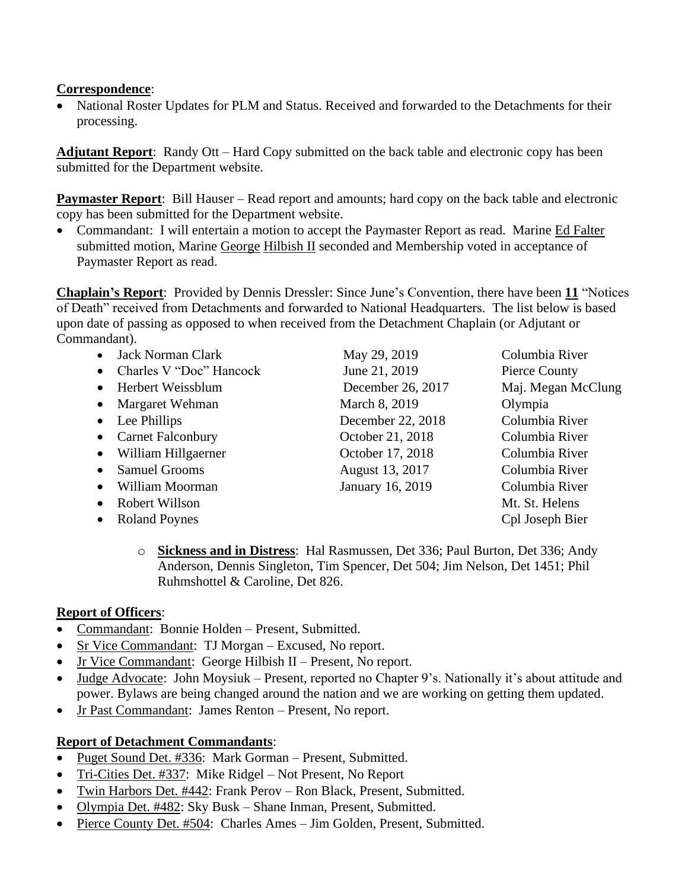#### **Correspondence**:

• National Roster Updates for PLM and Status. Received and forwarded to the Detachments for their processing.

**Adjutant Report**: Randy Ott – Hard Copy submitted on the back table and electronic copy has been submitted for the Department website.

**Paymaster Report**: Bill Hauser – Read report and amounts; hard copy on the back table and electronic copy has been submitted for the Department website.

• Commandant: I will entertain a motion to accept the Paymaster Report as read. Marine Ed Falter submitted motion, Marine George Hilbish II seconded and Membership voted in acceptance of Paymaster Report as read.

**Chaplain's Report**: Provided by Dennis Dressler: Since June's Convention, there have been **11** "Notices of Death" received from Detachments and forwarded to National Headquarters. The list below is based upon date of passing as opposed to when received from the Detachment Chaplain (or Adjutant or Commandant).

| <b>Jack Norman Clark</b>              | May 29, 2019      | Columbia River     |
|---------------------------------------|-------------------|--------------------|
| Charles V "Doc" Hancock<br>$\bullet$  | June 21, 2019     | Pierce County      |
| Herbert Weissblum<br>$\bullet$        | December 26, 2017 | Maj. Megan McClung |
| Margaret Wehman<br>$\bullet$          | March 8, 2019     | Olympia            |
| Lee Phillips<br>$\bullet$             | December 22, 2018 | Columbia River     |
| <b>Carnet Falconbury</b><br>$\bullet$ | October 21, 2018  | Columbia River     |
| William Hillgaerner<br>$\bullet$      | October 17, 2018  | Columbia River     |
| <b>Samuel Grooms</b><br>$\bullet$     | August 13, 2017   | Columbia River     |
| William Moorman<br>$\bullet$          | January 16, 2019  | Columbia River     |
| Robert Willson<br>$\bullet$           |                   | Mt. St. Helens     |
| <b>Roland Poynes</b><br>$\bullet$     |                   | Cpl Joseph Bier    |
|                                       |                   |                    |

o **Sickness and in Distress**: Hal Rasmussen, Det 336; Paul Burton, Det 336; Andy Anderson, Dennis Singleton, Tim Spencer, Det 504; Jim Nelson, Det 1451; Phil Ruhmshottel & Caroline, Det 826.

#### **Report of Officers**:

- Commandant: Bonnie Holden Present, Submitted.
- Sr Vice Commandant: TJ Morgan Excused, No report.
- Jr Vice Commandant: George Hilbish II Present, No report.
- Judge Advocate: John Moysiuk Present, reported no Chapter 9's. Nationally it's about attitude and power. Bylaws are being changed around the nation and we are working on getting them updated.
- Jr Past Commandant: James Renton Present, No report.

### **Report of Detachment Commandants**:

- Puget Sound Det. #336: Mark Gorman Present, Submitted.
- Tri-Cities Det. #337: Mike Ridgel Not Present, No Report
- Twin Harbors Det. #442: Frank Perov Ron Black, Present, Submitted.
- Olympia Det. #482: Sky Busk Shane Inman, Present, Submitted.
- Pierce County Det. #504: Charles Ames Jim Golden, Present, Submitted.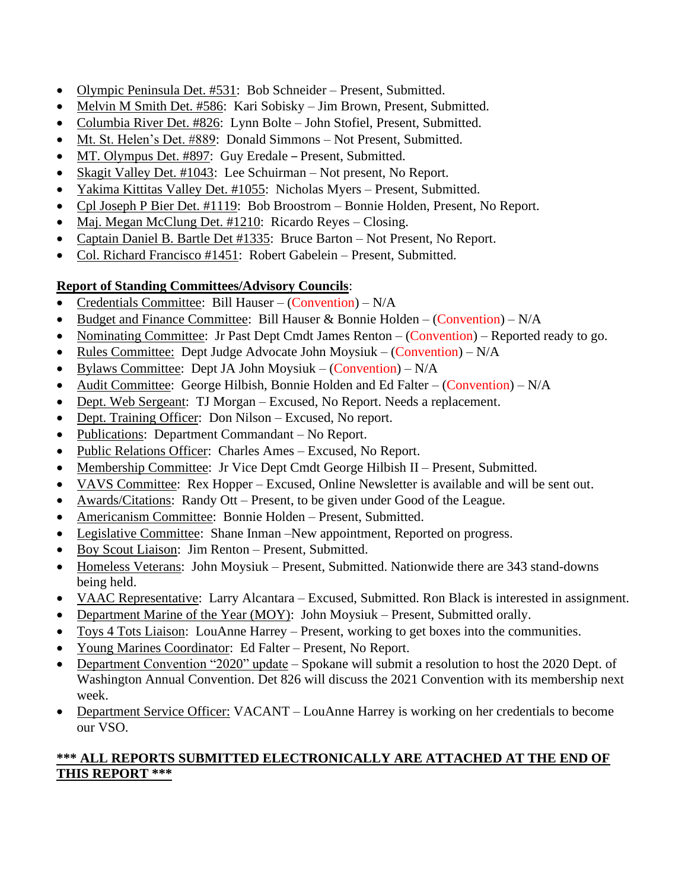- Olympic Peninsula Det. #531: Bob Schneider Present, Submitted.
- Melvin M Smith Det. #586: Kari Sobisky Jim Brown, Present, Submitted.
- Columbia River Det. #826: Lynn Bolte John Stofiel, Present, Submitted.
- Mt. St. Helen's Det. #889: Donald Simmons Not Present, Submitted.
- MT. Olympus Det. #897: Guy Eredale Present, Submitted.
- Skagit Valley Det. #1043: Lee Schuirman Not present, No Report.
- Yakima Kittitas Valley Det. #1055: Nicholas Myers Present, Submitted.
- Cpl Joseph P Bier Det. #1119: Bob Broostrom Bonnie Holden, Present, No Report.
- Maj. Megan McClung Det. #1210: Ricardo Reyes Closing.
- Captain Daniel B. Bartle Det #1335: Bruce Barton Not Present, No Report.
- Col. Richard Francisco #1451: Robert Gabelein Present, Submitted.

### **Report of Standing Committees/Advisory Councils**:

- Credentials Committee: Bill Hauser (Convention) N/A
- Budget and Finance Committee: Bill Hauser & Bonnie Holden (Convention)  $N/A$
- Nominating Committee: Jr Past Dept Cmdt James Renton  $-(\text{Convention})$  Reported ready to go.
- Rules Committee: Dept Judge Advocate John Moysiuk (Convention) N/A
- Bylaws Committee: Dept JA John Moysiuk (Convention)  $N/A$
- Audit Committee: George Hilbish, Bonnie Holden and Ed Falter (Convention) N/A
- Dept. Web Sergeant: TJ Morgan Excused, No Report. Needs a replacement.
- Dept. Training Officer: Don Nilson Excused, No report.
- Publications: Department Commandant No Report.
- Public Relations Officer: Charles Ames Excused, No Report.
- Membership Committee: Jr Vice Dept Cmdt George Hilbish II Present, Submitted.
- VAVS Committee: Rex Hopper Excused, Online Newsletter is available and will be sent out.
- Awards/Citations: Randy Ott Present, to be given under Good of the League.
- Americanism Committee: Bonnie Holden Present, Submitted.
- Legislative Committee: Shane Inman –New appointment, Reported on progress.
- Boy Scout Liaison: Jim Renton Present, Submitted.
- Homeless Veterans: John Moysiuk Present, Submitted. Nationwide there are 343 stand-downs being held.
- VAAC Representative: Larry Alcantara Excused, Submitted. Ron Black is interested in assignment.
- Department Marine of the Year (MOY): John Moysiuk Present, Submitted orally.
- Toys 4 Tots Liaison: LouAnne Harrey Present, working to get boxes into the communities.
- Young Marines Coordinator: Ed Falter Present, No Report.
- Department Convention "2020" update Spokane will submit a resolution to host the 2020 Dept. of Washington Annual Convention. Det 826 will discuss the 2021 Convention with its membership next week.
- Department Service Officer: VACANT LouAnne Harrey is working on her credentials to become our VSO.

### **\*\*\* ALL REPORTS SUBMITTED ELECTRONICALLY ARE ATTACHED AT THE END OF THIS REPORT \*\*\***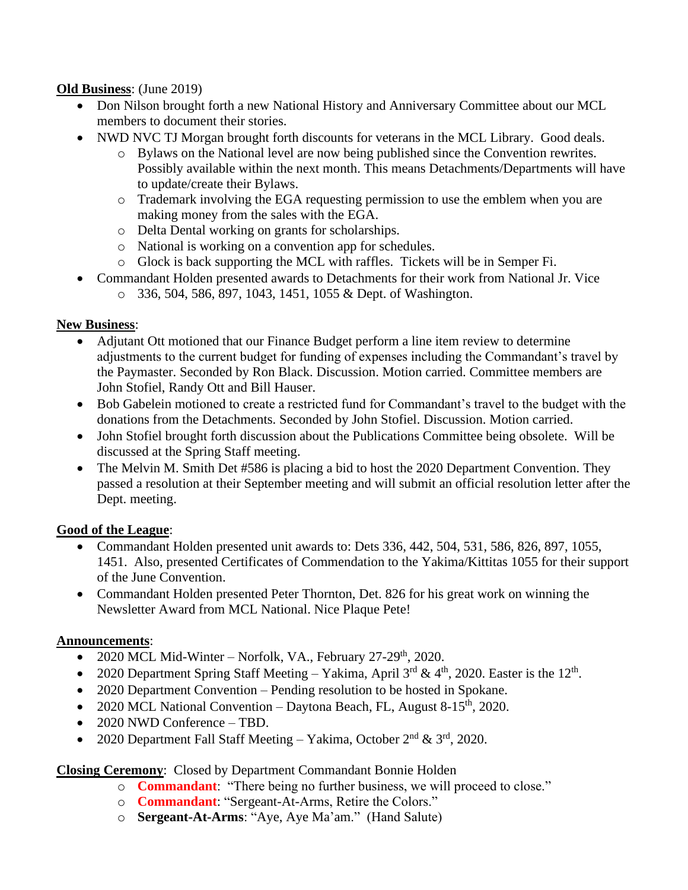#### **Old Business**: (June 2019)

- Don Nilson brought forth a new National History and Anniversary Committee about our MCL members to document their stories.
- NWD NVC TJ Morgan brought forth discounts for veterans in the MCL Library. Good deals.
	- o Bylaws on the National level are now being published since the Convention rewrites. Possibly available within the next month. This means Detachments/Departments will have to update/create their Bylaws.
	- o Trademark involving the EGA requesting permission to use the emblem when you are making money from the sales with the EGA.
	- o Delta Dental working on grants for scholarships.
	- o National is working on a convention app for schedules.
	- o Glock is back supporting the MCL with raffles. Tickets will be in Semper Fi.
- Commandant Holden presented awards to Detachments for their work from National Jr. Vice
	- o 336, 504, 586, 897, 1043, 1451, 1055 & Dept. of Washington.

#### **New Business**:

- Adjutant Ott motioned that our Finance Budget perform a line item review to determine adjustments to the current budget for funding of expenses including the Commandant's travel by the Paymaster. Seconded by Ron Black. Discussion. Motion carried. Committee members are John Stofiel, Randy Ott and Bill Hauser.
- Bob Gabelein motioned to create a restricted fund for Commandant's travel to the budget with the donations from the Detachments. Seconded by John Stofiel. Discussion. Motion carried.
- John Stofiel brought forth discussion about the Publications Committee being obsolete. Will be discussed at the Spring Staff meeting.
- The Melvin M. Smith Det #586 is placing a bid to host the 2020 Department Convention. They passed a resolution at their September meeting and will submit an official resolution letter after the Dept. meeting.

#### **Good of the League**:

- Commandant Holden presented unit awards to: Dets 336, 442, 504, 531, 586, 826, 897, 1055, 1451. Also, presented Certificates of Commendation to the Yakima/Kittitas 1055 for their support of the June Convention.
- Commandant Holden presented Peter Thornton, Det. 826 for his great work on winning the Newsletter Award from MCL National. Nice Plaque Pete!

#### **Announcements**:

- 2020 MCL Mid-Winter Norfolk, VA., February 27-29<sup>th</sup>, 2020.
- 2020 Department Spring Staff Meeting Yakima, April  $3^{rd}$  &  $4^{th}$ , 2020. Easter is the  $12^{th}$ .
- 2020 Department Convention Pending resolution to be hosted in Spokane.
- 2020 MCL National Convention Daytona Beach, FL, August 8-15<sup>th</sup>, 2020.
- 2020 NWD Conference TBD.
- 2020 Department Fall Staff Meeting Yakima, October  $2<sup>nd</sup> \& 3<sup>rd</sup>$ , 2020.

#### **Closing Ceremony**: Closed by Department Commandant Bonnie Holden

- o **Commandant**: "There being no further business, we will proceed to close."
- o **Commandant**: "Sergeant-At-Arms, Retire the Colors."
- o **Sergeant-At-Arms**: "Aye, Aye Ma'am." (Hand Salute)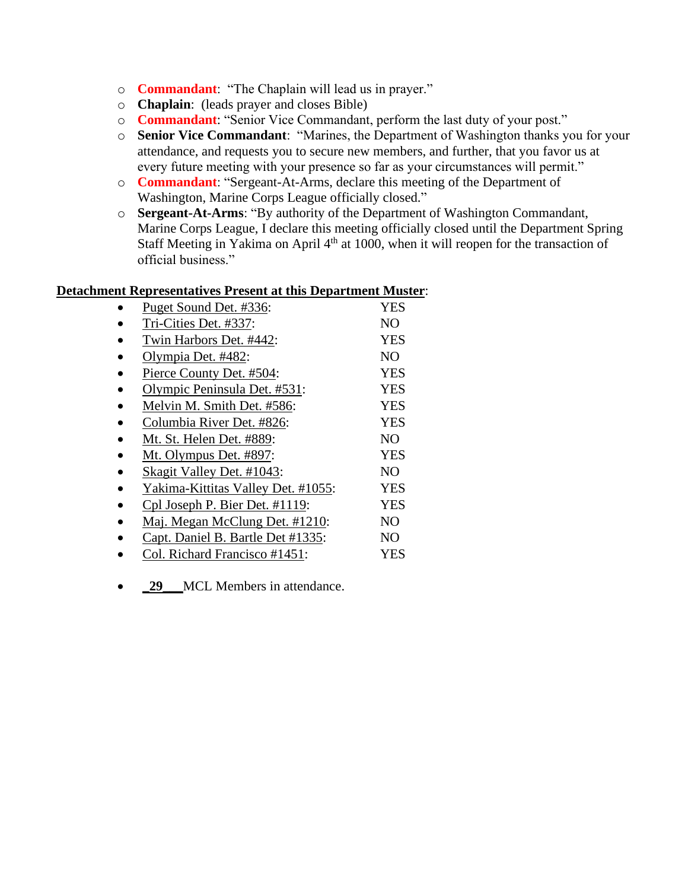- o **Commandant**: "The Chaplain will lead us in prayer."
- o **Chaplain**: (leads prayer and closes Bible)
- o **Commandant**: "Senior Vice Commandant, perform the last duty of your post."
- o **Senior Vice Commandant**: "Marines, the Department of Washington thanks you for your attendance, and requests you to secure new members, and further, that you favor us at every future meeting with your presence so far as your circumstances will permit."
- o **Commandant**: "Sergeant-At-Arms, declare this meeting of the Department of Washington, Marine Corps League officially closed."
- o **Sergeant-At-Arms**: "By authority of the Department of Washington Commandant, Marine Corps League, I declare this meeting officially closed until the Department Spring Staff Meeting in Yakima on April 4<sup>th</sup> at 1000, when it will reopen for the transaction of official business."

#### **Detachment Representatives Present at this Department Muster**:

| Puget Sound Det. #336:             | <b>YES</b>     |
|------------------------------------|----------------|
| Tri-Cities Det. #337:              | NO.            |
| Twin Harbors Det. #442:            | <b>YES</b>     |
| Olympia Det. #482:                 | NO.            |
| Pierce County Det. #504:           | <b>YES</b>     |
| Olympic Peninsula Det. #531:       | <b>YES</b>     |
| Melvin M. Smith Det. #586:         | <b>YES</b>     |
| Columbia River Det. #826:          | <b>YES</b>     |
| Mt. St. Helen Det. #889:           | NO.            |
| Mt. Olympus Det. #897:             | YES            |
| Skagit Valley Det. #1043:          | NO.            |
| Yakima-Kittitas Valley Det. #1055: | <b>YES</b>     |
| Cpl Joseph P. Bier Det. #1119:     | YES            |
| Maj. Megan McClung Det. #1210:     | NO.            |
| Capt. Daniel B. Bartle Det #1335:  | N <sub>O</sub> |
| Col. Richard Francisco #1451:      | YES            |

• **\_29** \_\_MCL Members in attendance.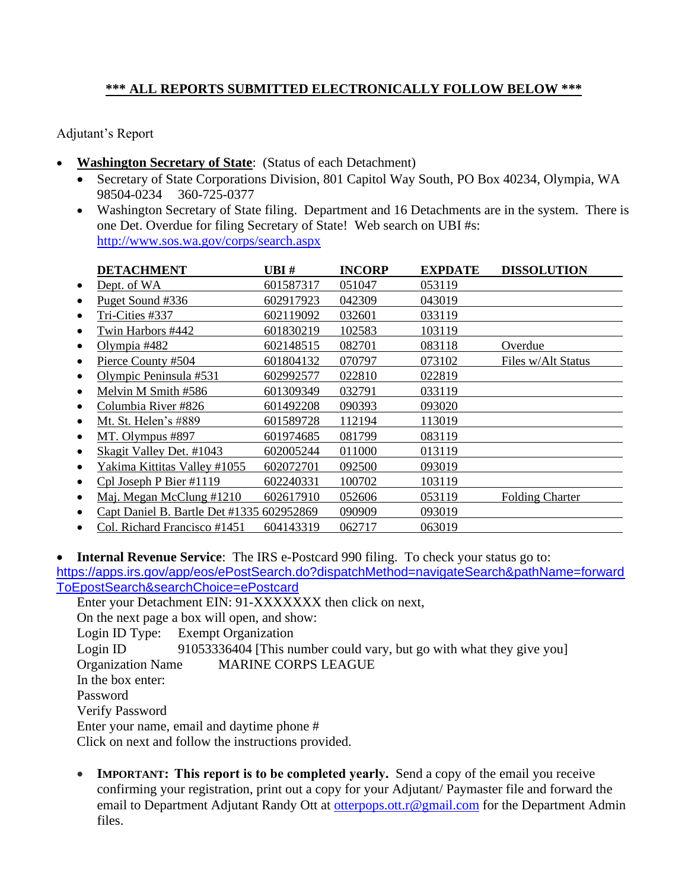### **\*\*\* ALL REPORTS SUBMITTED ELECTRONICALLY FOLLOW BELOW \*\*\***

Adjutant's Report

- **Washington Secretary of State**: (Status of each Detachment)
	- Secretary of State Corporations Division, 801 Capitol Way South, PO Box 40234, Olympia, WA 98504-0234 360-725-0377
	- Washington Secretary of State filing. Department and 16 Detachments are in the system. There is one Det. Overdue for filing Secretary of State! Web search on UBI #s: <http://www.sos.wa.gov/corps/search.aspx>

|           | <b>DETACHMENT</b>                         | UBI#      | <b>INCORP</b> | <b>EXPDATE</b> | <b>DISSOLUTION</b>     |
|-----------|-------------------------------------------|-----------|---------------|----------------|------------------------|
| ٠         | Dept. of WA                               | 601587317 | 051047        | 053119         |                        |
| ٠         | Puget Sound #336                          | 602917923 | 042309        | 043019         |                        |
| $\bullet$ | Tri-Cities #337                           | 602119092 | 032601        | 033119         |                        |
|           | Twin Harbors #442                         | 601830219 | 102583        | 103119         |                        |
|           | Olympia #482                              | 602148515 | 082701        | 083118         | Overdue                |
|           | Pierce County #504                        | 601804132 | 070797        | 073102         | Files w/Alt Status     |
|           | Olympic Peninsula #531                    | 602992577 | 022810        | 022819         |                        |
|           | Melvin M Smith #586                       | 601309349 | 032791        | 033119         |                        |
|           | Columbia River #826                       | 601492208 | 090393        | 093020         |                        |
|           | Mt. St. Helen's #889                      | 601589728 | 112194        | 113019         |                        |
|           | MT. Olympus #897                          | 601974685 | 081799        | 083119         |                        |
|           | Skagit Valley Det. #1043                  | 602005244 | 011000        | 013119         |                        |
|           | Yakima Kittitas Valley #1055              | 602072701 | 092500        | 093019         |                        |
|           | Cpl Joseph P Bier #1119                   | 602240331 | 100702        | 103119         |                        |
| ٠         | Maj. Megan McClung #1210                  | 602617910 | 052606        | 053119         | <b>Folding Charter</b> |
|           | Capt Daniel B. Bartle Det #1335 602952869 |           | 090909        | 093019         |                        |
|           | Col. Richard Francisco #1451              | 604143319 | 062717        | 063019         |                        |

• **Internal Revenue Service**: The IRS e-Postcard 990 filing. To check your status go to: [https://apps.irs.gov/app/eos/ePostSearch.do?dispatchMethod=navigateSearch&pathName=forward](https://apps.irs.gov/app/eos/ePostSearch.do?dispatchMethod=navigateSearch&pathName=forwardToEpostSearch&searchChoice=ePostcard) [ToEpostSearch&searchChoice=ePostcard](https://apps.irs.gov/app/eos/ePostSearch.do?dispatchMethod=navigateSearch&pathName=forwardToEpostSearch&searchChoice=ePostcard)

Enter your Detachment EIN: 91-XXXXXXX then click on next, On the next page a box will open, and show: Login ID Type: Exempt Organization Login ID 91053336404 [This number could vary, but go with what they give you] Organization Name MARINE CORPS LEAGUE In the box enter: Password Verify Password Enter your name, email and daytime phone #

Click on next and follow the instructions provided.

• **IMPORTANT:** This report is to be completed yearly. Send a copy of the email you receive confirming your registration, print out a copy for your Adjutant/ Paymaster file and forward the email to Department Adjutant Randy Ott at [otterpops.ott.r@gmail.com](mailto:moysiukjl@hotmail.com) for the Department Admin files.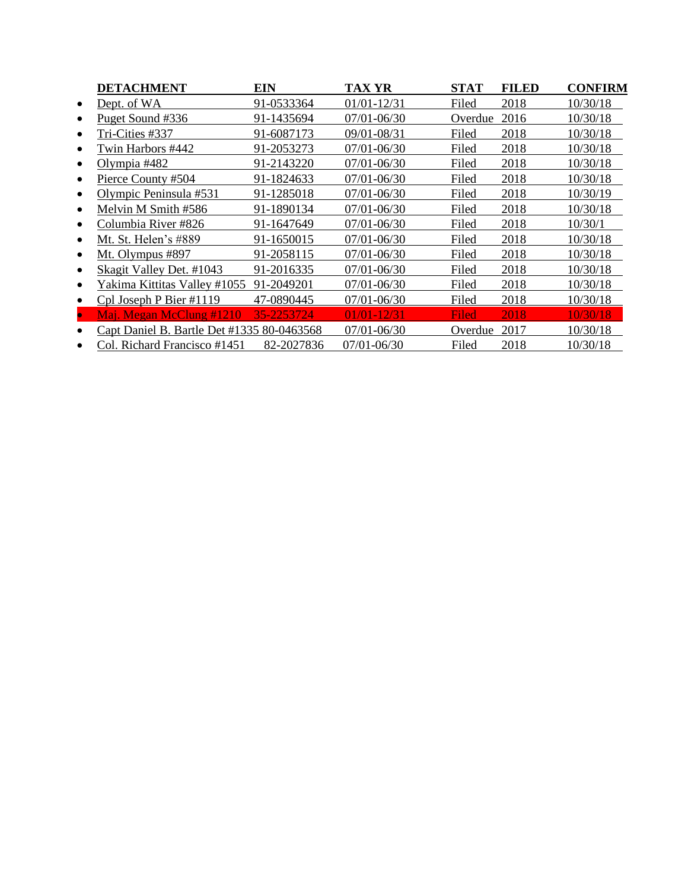|           | <b>DETACHMENT</b>                          | EIN        | TAX YR          | <b>STAT</b>  | <b>FILED</b> | <b>CONFIRM</b> |
|-----------|--------------------------------------------|------------|-----------------|--------------|--------------|----------------|
| ٠         | Dept. of WA                                | 91-0533364 | $01/01 - 12/31$ | Filed        | 2018         | 10/30/18       |
|           | Puget Sound #336                           | 91-1435694 | 07/01-06/30     | Overdue      | 2016         | 10/30/18       |
|           | Tri-Cities #337                            | 91-6087173 | 09/01-08/31     | Filed        | 2018         | 10/30/18       |
|           | Twin Harbors #442                          | 91-2053273 | 07/01-06/30     | Filed        | 2018         | 10/30/18       |
|           | Olympia #482                               | 91-2143220 | 07/01-06/30     | Filed        | 2018         | 10/30/18       |
|           | Pierce County #504                         | 91-1824633 | 07/01-06/30     | Filed        | 2018         | 10/30/18       |
|           | Olympic Peninsula #531                     | 91-1285018 | 07/01-06/30     | Filed        | 2018         | 10/30/19       |
|           | Melvin M Smith #586                        | 91-1890134 | 07/01-06/30     | Filed        | 2018         | 10/30/18       |
|           | Columbia River #826                        | 91-1647649 | 07/01-06/30     | Filed        | 2018         | 10/30/1        |
|           | Mt. St. Helen's #889                       | 91-1650015 | $07/01 - 06/30$ | Filed        | 2018         | 10/30/18       |
|           | Mt. Olympus #897                           | 91-2058115 | $07/01 - 06/30$ | Filed        | 2018         | 10/30/18       |
|           | Skagit Valley Det. #1043                   | 91-2016335 | 07/01-06/30     | Filed        | 2018         | 10/30/18       |
|           | Yakima Kittitas Valley #1055               | 91-2049201 | 07/01-06/30     | Filed        | 2018         | 10/30/18       |
|           | Cpl Joseph P Bier #1119                    | 47-0890445 | 07/01-06/30     | Filed        | 2018         | 10/30/18       |
| $\bullet$ | Maj. Megan McClung #1210                   | 35-2253724 | $01/01 - 12/31$ | <b>Filed</b> | 2018         | 10/30/18       |
|           | Capt Daniel B. Bartle Det #1335 80-0463568 |            | 07/01-06/30     | Overdue      | 2017         | 10/30/18       |
|           | Col. Richard Francisco #1451               | 82-2027836 | $07/01 - 06/30$ | Filed        | 2018         | 10/30/18       |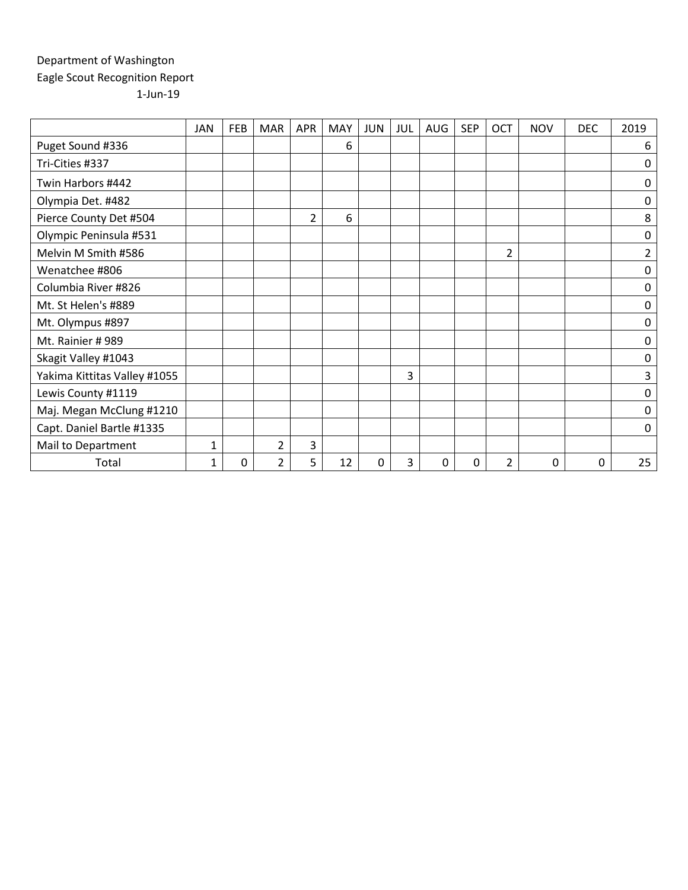### Department of Washington Eagle Scout Recognition Report 1-Jun-19

|                              | <b>JAN</b>   | <b>FEB</b> | <b>MAR</b>     | APR            | <b>MAY</b> | <b>JUN</b> | JUL | AUG | <b>SEP</b> | OCT            | <b>NOV</b> | <b>DEC</b> | 2019           |
|------------------------------|--------------|------------|----------------|----------------|------------|------------|-----|-----|------------|----------------|------------|------------|----------------|
| Puget Sound #336             |              |            |                |                | 6          |            |     |     |            |                |            |            | 6              |
| Tri-Cities #337              |              |            |                |                |            |            |     |     |            |                |            |            | 0              |
| Twin Harbors #442            |              |            |                |                |            |            |     |     |            |                |            |            | $\mathbf 0$    |
| Olympia Det. #482            |              |            |                |                |            |            |     |     |            |                |            |            | 0              |
| Pierce County Det #504       |              |            |                | $\overline{2}$ | 6          |            |     |     |            |                |            |            | 8              |
| Olympic Peninsula #531       |              |            |                |                |            |            |     |     |            |                |            |            | $\pmb{0}$      |
| Melvin M Smith #586          |              |            |                |                |            |            |     |     |            | 2              |            |            | $\overline{2}$ |
| Wenatchee #806               |              |            |                |                |            |            |     |     |            |                |            |            | 0              |
| Columbia River #826          |              |            |                |                |            |            |     |     |            |                |            |            | 0              |
| Mt. St Helen's #889          |              |            |                |                |            |            |     |     |            |                |            |            | $\mathbf 0$    |
| Mt. Olympus #897             |              |            |                |                |            |            |     |     |            |                |            |            | 0              |
| Mt. Rainier #989             |              |            |                |                |            |            |     |     |            |                |            |            | 0              |
| Skagit Valley #1043          |              |            |                |                |            |            |     |     |            |                |            |            | $\mathbf 0$    |
| Yakima Kittitas Valley #1055 |              |            |                |                |            |            | 3   |     |            |                |            |            | 3              |
| Lewis County #1119           |              |            |                |                |            |            |     |     |            |                |            |            | 0              |
| Maj. Megan McClung #1210     |              |            |                |                |            |            |     |     |            |                |            |            | 0              |
| Capt. Daniel Bartle #1335    |              |            |                |                |            |            |     |     |            |                |            |            | 0              |
| Mail to Department           | 1            |            | 2              | 3              |            |            |     |     |            |                |            |            |                |
| Total                        | $\mathbf{1}$ | 0          | $\overline{2}$ | 5              | 12         | $\Omega$   | 3   | 0   | 0          | $\overline{2}$ | 0          | 0          | 25             |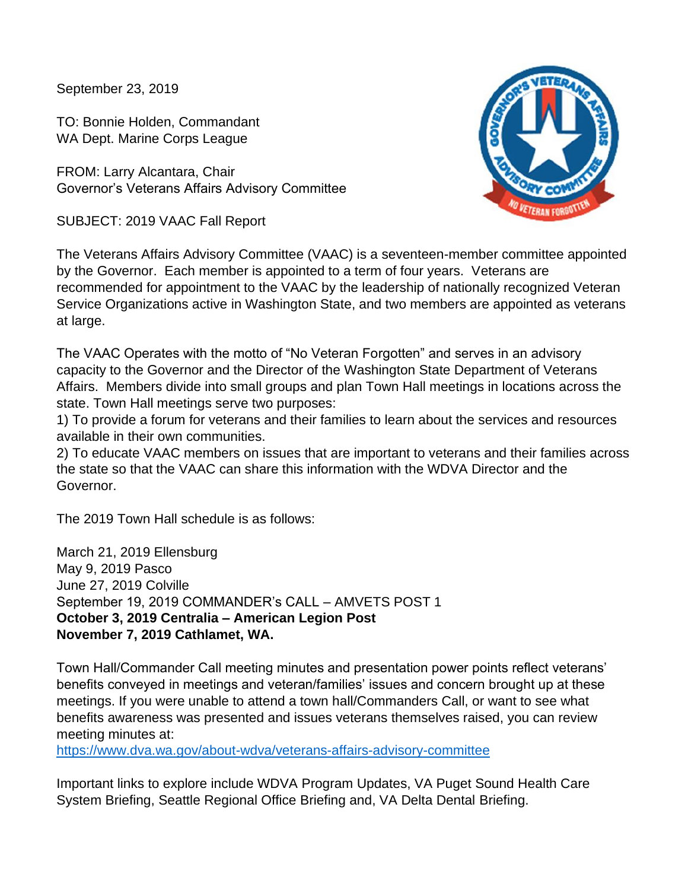September 23, 2019

TO: Bonnie Holden, Commandant WA Dept. Marine Corps League

FROM: Larry Alcantara, Chair Governor's Veterans Affairs Advisory Committee

SUBJECT: 2019 VAAC Fall Report



The Veterans Affairs Advisory Committee (VAAC) is a seventeen-member committee appointed by the Governor. Each member is appointed to a term of four years. Veterans are recommended for appointment to the VAAC by the leadership of nationally recognized Veteran Service Organizations active in Washington State, and two members are appointed as veterans at large.

The VAAC Operates with the motto of "No Veteran Forgotten" and serves in an advisory capacity to the Governor and the Director of the Washington State Department of Veterans Affairs. Members divide into small groups and plan Town Hall meetings in locations across the state. Town Hall meetings serve two purposes:

1) To provide a forum for veterans and their families to learn about the services and resources available in their own communities.

2) To educate VAAC members on issues that are important to veterans and their families across the state so that the VAAC can share this information with the WDVA Director and the Governor.

The 2019 Town Hall schedule is as follows:

March 21, 2019 Ellensburg May 9, 2019 Pasco June 27, 2019 Colville September 19, 2019 COMMANDER's CALL – AMVETS POST 1 **October 3, 2019 Centralia – American Legion Post November 7, 2019 Cathlamet, WA.**

Town Hall/Commander Call meeting minutes and presentation power points reflect veterans' benefits conveyed in meetings and veteran/families' issues and concern brought up at these meetings. If you were unable to attend a town hall/Commanders Call, or want to see what benefits awareness was presented and issues veterans themselves raised, you can review meeting minutes at:

<https://www.dva.wa.gov/about-wdva/veterans-affairs-advisory-committee>

Important links to explore include WDVA Program Updates, VA Puget Sound Health Care System Briefing, Seattle Regional Office Briefing and, VA Delta Dental Briefing.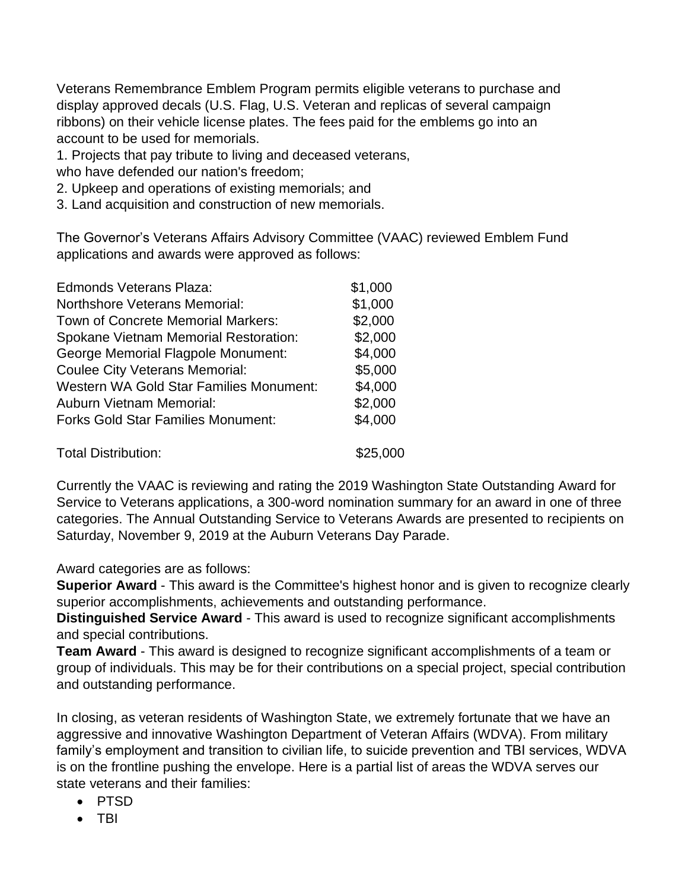Veterans Remembrance Emblem Program permits eligible veterans to purchase and display approved decals (U.S. Flag, U.S. Veteran and replicas of several campaign ribbons) on their vehicle license plates. The fees paid for the emblems go into an account to be used for memorials.

1. Projects that pay tribute to living and deceased veterans,

who have defended our nation's freedom;

- 2. Upkeep and operations of existing memorials; and
- 3. Land acquisition and construction of new memorials.

The Governor's Veterans Affairs Advisory Committee (VAAC) reviewed Emblem Fund applications and awards were approved as follows:

| <b>Edmonds Veterans Plaza:</b>                 | \$1,000  |
|------------------------------------------------|----------|
| <b>Northshore Veterans Memorial:</b>           | \$1,000  |
| Town of Concrete Memorial Markers:             | \$2,000  |
| Spokane Vietnam Memorial Restoration:          | \$2,000  |
| George Memorial Flagpole Monument:             | \$4,000  |
| <b>Coulee City Veterans Memorial:</b>          | \$5,000  |
| <b>Western WA Gold Star Families Monument:</b> | \$4,000  |
| <b>Auburn Vietnam Memorial:</b>                | \$2,000  |
| <b>Forks Gold Star Families Monument:</b>      | \$4,000  |
| <b>Total Distribution:</b>                     | \$25,000 |

Currently the VAAC is reviewing and rating the 2019 Washington State Outstanding Award for Service to Veterans applications, a 300-word nomination summary for an award in one of three categories. The Annual Outstanding Service to Veterans Awards are presented to recipients on Saturday, November 9, 2019 at the Auburn Veterans Day Parade.

Award categories are as follows:

**Superior Award** - This award is the Committee's highest honor and is given to recognize clearly superior accomplishments, achievements and outstanding performance.

**Distinguished Service Award** - This award is used to recognize significant accomplishments and special contributions.

**Team Award** - This award is designed to recognize significant accomplishments of a team or group of individuals. This may be for their contributions on a special project, special contribution and outstanding performance.

In closing, as veteran residents of Washington State, we extremely fortunate that we have an aggressive and innovative Washington Department of Veteran Affairs (WDVA). From military family's employment and transition to civilian life, to suicide prevention and TBI services, WDVA is on the frontline pushing the envelope. Here is a partial list of areas the WDVA serves our state veterans and their families:

- PTSD
- TBI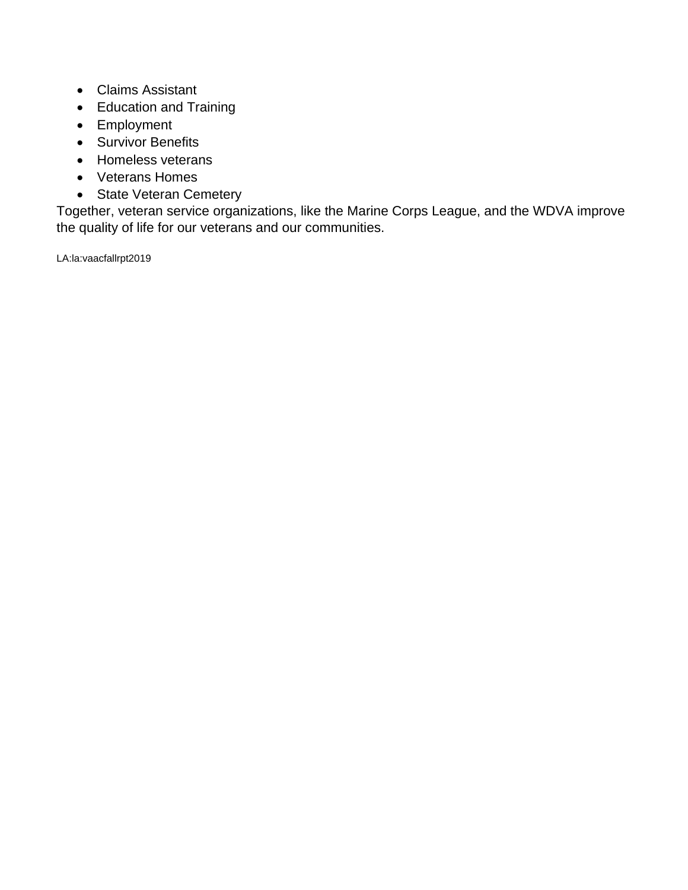- Claims Assistant
- Education and Training
- Employment
- Survivor Benefits
- Homeless veterans
- Veterans Homes
- State Veteran Cemetery

Together, veteran service organizations, like the Marine Corps League, and the WDVA improve the quality of life for our veterans and our communities.

LA:la:vaacfallrpt2019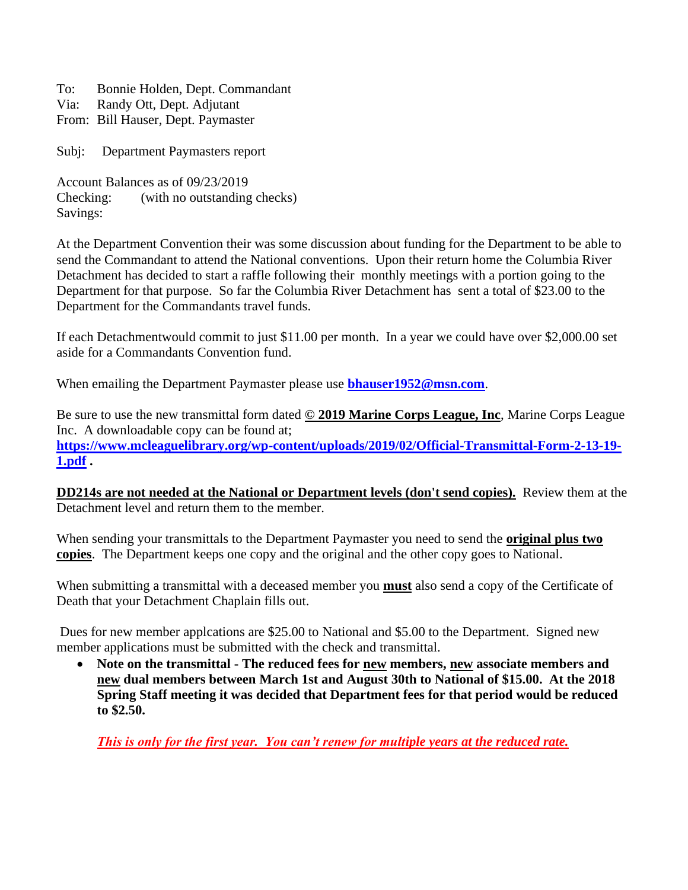To: Bonnie Holden, Dept. Commandant

- Via: Randy Ott, Dept. Adjutant
- From: Bill Hauser, Dept. Paymaster

Subj: Department Paymasters report

Account Balances as of 09/23/2019 Checking: (with no outstanding checks) Savings:

At the Department Convention their was some discussion about funding for the Department to be able to send the Commandant to attend the National conventions. Upon their return home the Columbia River Detachment has decided to start a raffle following their monthly meetings with a portion going to the Department for that purpose. So far the Columbia River Detachment has sent a total of \$23.00 to the Department for the Commandants travel funds.

If each Detachmentwould commit to just \$11.00 per month. In a year we could have over \$2,000.00 set aside for a Commandants Convention fund.

When emailing the Department Paymaster please use **[bhauser1952@msn.com](file:///C:/Users/Bill/Desktop/bhauser1952@msn.com)**.

Be sure to use the new transmittal form dated **© 2019 Marine Corps League, Inc**, Marine Corps League Inc. A downloadable copy can be found at; **[https://www.mcleaguelibrary.org/wp-content/uploads/2019/02/Official-Transmittal-Form-2-13-19-](https://www.mcleaguelibrary.org/wp-content/uploads/2019/02/Official-Transmittal-Form-2-13-19-1.pdf) [1.pdf](https://www.mcleaguelibrary.org/wp-content/uploads/2019/02/Official-Transmittal-Form-2-13-19-1.pdf) .**

**DD214s are not needed at the National or Department levels (don't send copies).** Review them at the Detachment level and return them to the member.

When sending your transmittals to the Department Paymaster you need to send the **original plus two copies**. The Department keeps one copy and the original and the other copy goes to National.

When submitting a transmittal with a deceased member you **must** also send a copy of the Certificate of Death that your Detachment Chaplain fills out.

Dues for new member applcations are \$25.00 to National and \$5.00 to the Department. Signed new member applications must be submitted with the check and transmittal.

• **Note on the transmittal - The reduced fees for new members, new associate members and new dual members between March 1st and August 30th to National of \$15.00. At the 2018 Spring Staff meeting it was decided that Department fees for that period would be reduced to \$2.50.** 

*This is only for the first year. You can't renew for multiple years at the reduced rate.*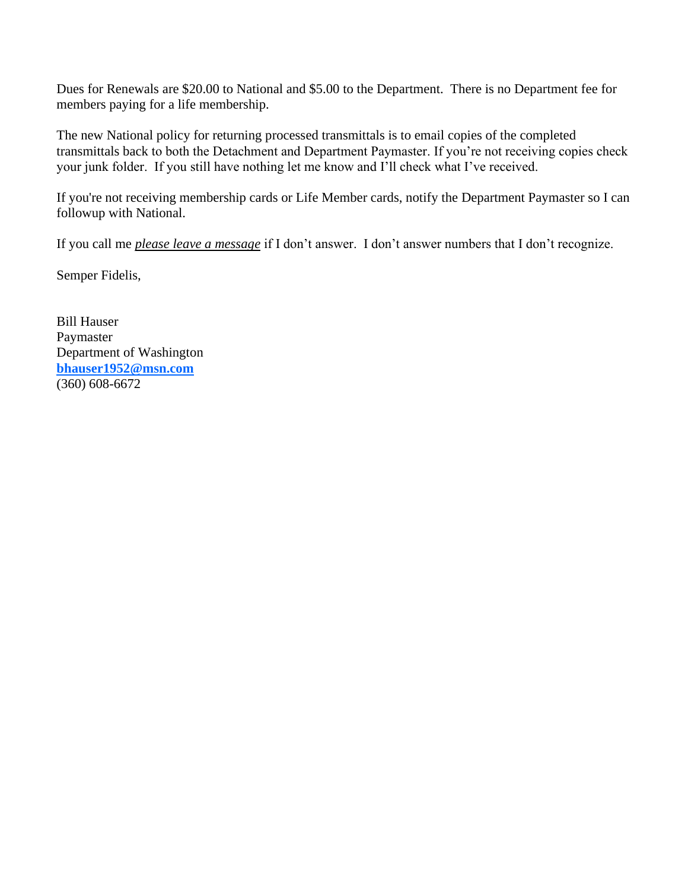Dues for Renewals are \$20.00 to National and \$5.00 to the Department. There is no Department fee for members paying for a life membership.

The new National policy for returning processed transmittals is to email copies of the completed transmittals back to both the Detachment and Department Paymaster. If you're not receiving copies check your junk folder. If you still have nothing let me know and I'll check what I've received.

If you're not receiving membership cards or Life Member cards, notify the Department Paymaster so I can followup with National.

If you call me *please leave a message* if I don't answer. I don't answer numbers that I don't recognize.

Semper Fidelis,

Bill Hauser Paymaster Department of Washington **[bhauser1952@msn.com](file:///C:/Users/Bill/Desktop/bhauser1952@msn.com)** (360) 608-6672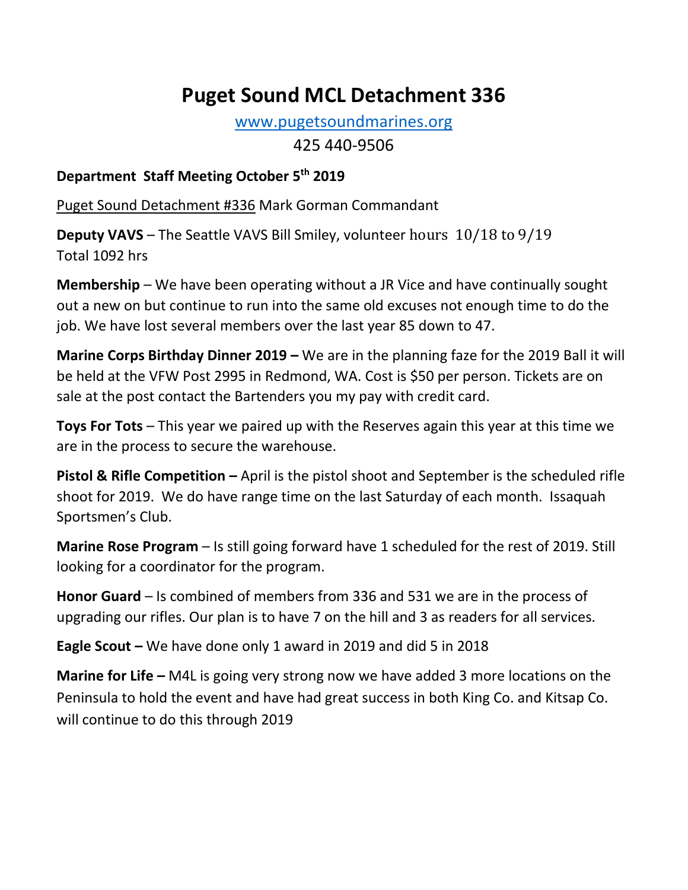# **Puget Sound MCL Detachment 336**

[www.pugetsoundmarines.org](http://www.pugetsoundmarines.org/)

425 440-9506

## **Department Staff Meeting October 5th 2019**

Puget Sound Detachment #336 Mark Gorman Commandant

**Deputy VAVS** – The Seattle VAVS Bill Smiley, volunteer hours 10/18 to 9/19 Total 1092 hrs

**Membership** – We have been operating without a JR Vice and have continually sought out a new on but continue to run into the same old excuses not enough time to do the job. We have lost several members over the last year 85 down to 47.

**Marine Corps Birthday Dinner 2019 –** We are in the planning faze for the 2019 Ball it will be held at the VFW Post 2995 in Redmond, WA. Cost is \$50 per person. Tickets are on sale at the post contact the Bartenders you my pay with credit card.

**Toys For Tots** – This year we paired up with the Reserves again this year at this time we are in the process to secure the warehouse.

**Pistol & Rifle Competition –** April is the pistol shoot and September is the scheduled rifle shoot for 2019. We do have range time on the last Saturday of each month. Issaquah Sportsmen's Club.

**Marine Rose Program** – Is still going forward have 1 scheduled for the rest of 2019. Still looking for a coordinator for the program.

**Honor Guard** – Is combined of members from 336 and 531 we are in the process of upgrading our rifles. Our plan is to have 7 on the hill and 3 as readers for all services.

**Eagle Scout –** We have done only 1 award in 2019 and did 5 in 2018

**Marine for Life –** M4L is going very strong now we have added 3 more locations on the Peninsula to hold the event and have had great success in both King Co. and Kitsap Co. will continue to do this through 2019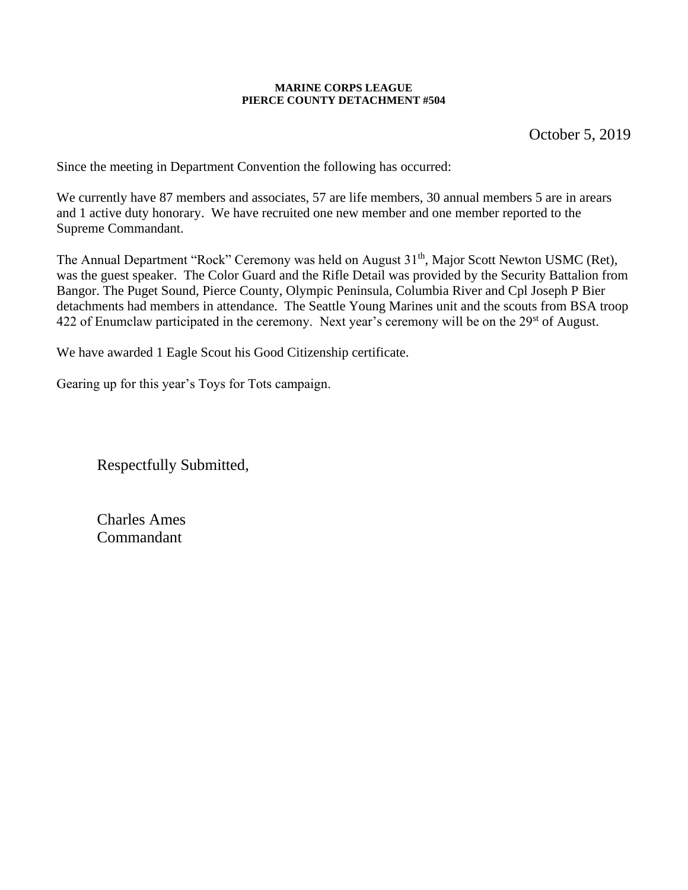#### **MARINE CORPS LEAGUE PIERCE COUNTY DETACHMENT #504**

October 5, 2019

Since the meeting in Department Convention the following has occurred:

We currently have 87 members and associates, 57 are life members, 30 annual members 5 are in arears and 1 active duty honorary. We have recruited one new member and one member reported to the Supreme Commandant.

The Annual Department "Rock" Ceremony was held on August 31<sup>th</sup>, Major Scott Newton USMC (Ret), was the guest speaker. The Color Guard and the Rifle Detail was provided by the Security Battalion from Bangor. The Puget Sound, Pierce County, Olympic Peninsula, Columbia River and Cpl Joseph P Bier detachments had members in attendance. The Seattle Young Marines unit and the scouts from BSA troop 422 of Enumclaw participated in the ceremony. Next year's ceremony will be on the 29<sup>st</sup> of August.

We have awarded 1 Eagle Scout his Good Citizenship certificate.

Gearing up for this year's Toys for Tots campaign.

Respectfully Submitted,

Charles Ames Commandant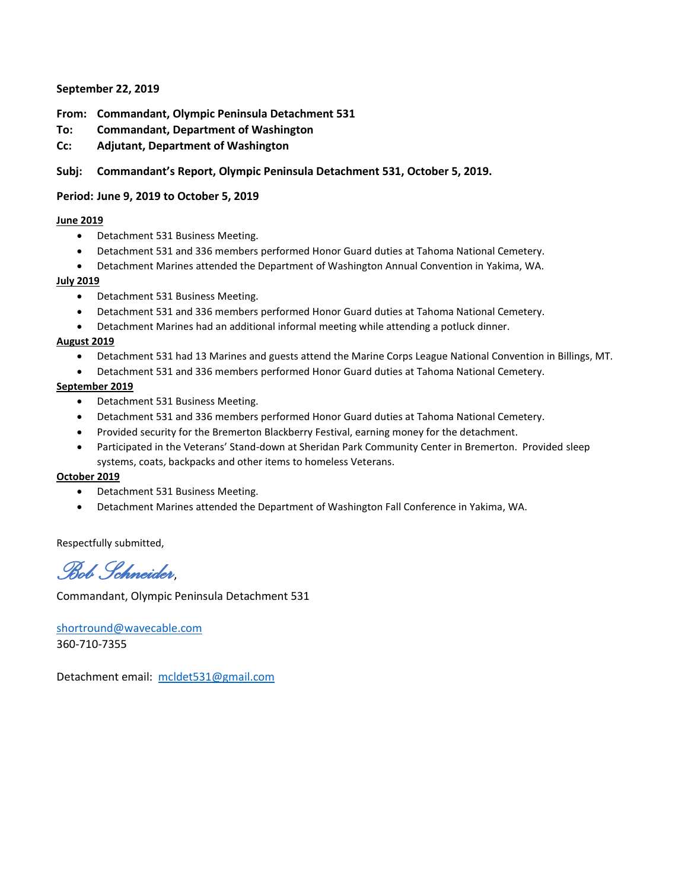#### **September 22, 2019**

#### **From: Commandant, Olympic Peninsula Detachment 531**

- **To: Commandant, Department of Washington**
- **Cc: Adjutant, Department of Washington**

#### **Subj: Commandant's Report, Olympic Peninsula Detachment 531, October 5, 2019.**

#### **Period: June 9, 2019 to October 5, 2019**

#### **June 2019**

- Detachment 531 Business Meeting.
- Detachment 531 and 336 members performed Honor Guard duties at Tahoma National Cemetery.
- Detachment Marines attended the Department of Washington Annual Convention in Yakima, WA.

#### **July 2019**

- Detachment 531 Business Meeting.
- Detachment 531 and 336 members performed Honor Guard duties at Tahoma National Cemetery.
- Detachment Marines had an additional informal meeting while attending a potluck dinner.

#### **August 2019**

- Detachment 531 had 13 Marines and guests attend the Marine Corps League National Convention in Billings, MT.
- Detachment 531 and 336 members performed Honor Guard duties at Tahoma National Cemetery.

#### **September 2019**

- Detachment 531 Business Meeting.
- Detachment 531 and 336 members performed Honor Guard duties at Tahoma National Cemetery.
- Provided security for the Bremerton Blackberry Festival, earning money for the detachment.
- Participated in the Veterans' Stand-down at Sheridan Park Community Center in Bremerton. Provided sleep systems, coats, backpacks and other items to homeless Veterans.

#### **October 2019**

- Detachment 531 Business Meeting.
- Detachment Marines attended the Department of Washington Fall Conference in Yakima, WA.

Respectfully submitted,

*Bob Schneider*,

Commandant, Olympic Peninsula Detachment 531

[shortround@wavecable.com](mailto:shortround@wavecable.com) 360-710-7355

Detachment email: [mcldet531@gmail.com](mailto:mcldet531@gmail.com)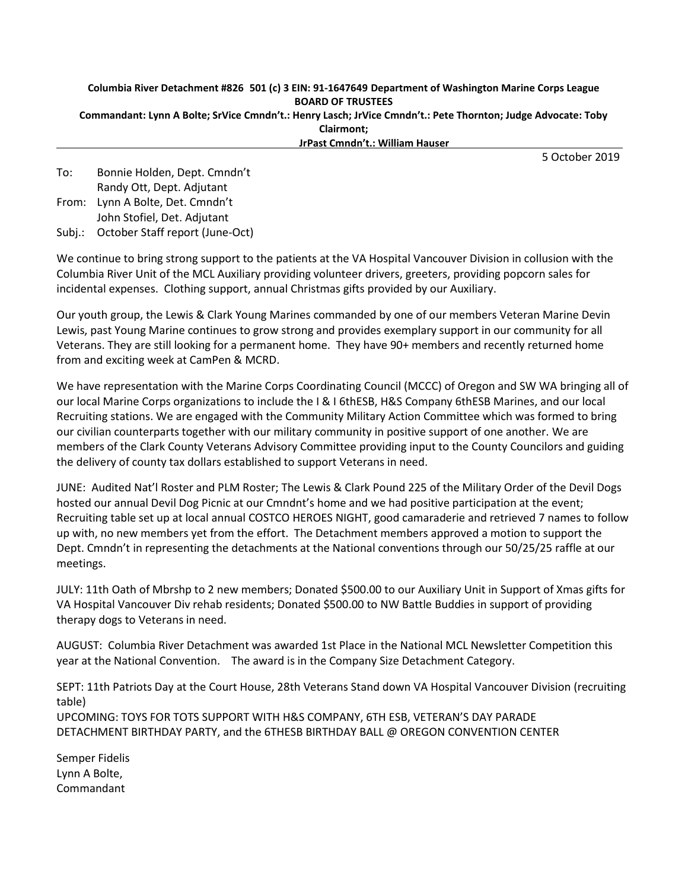### **Columbia River Detachment #826 501 (c) 3 EIN: 91-1647649 Department of Washington Marine Corps League BOARD OF TRUSTEES**

**Commandant: Lynn A Bolte; SrVice Cmndn't.: Henry Lasch; JrVice Cmndn't.: Pete Thornton; Judge Advocate: Toby Clairmont;**

**JrPast Cmndn't.: William Hauser**

5 October 2019

To: Bonnie Holden, Dept. Cmndn't Randy Ott, Dept. Adjutant

From: Lynn A Bolte, Det. Cmndn't John Stofiel, Det. Adjutant

Subj.: October Staff report (June-Oct)

We continue to bring strong support to the patients at the VA Hospital Vancouver Division in collusion with the Columbia River Unit of the MCL Auxiliary providing volunteer drivers, greeters, providing popcorn sales for incidental expenses. Clothing support, annual Christmas gifts provided by our Auxiliary.

Our youth group, the Lewis & Clark Young Marines commanded by one of our members Veteran Marine Devin Lewis, past Young Marine continues to grow strong and provides exemplary support in our community for all Veterans. They are still looking for a permanent home. They have 90+ members and recently returned home from and exciting week at CamPen & MCRD.

We have representation with the Marine Corps Coordinating Council (MCCC) of Oregon and SW WA bringing all of our local Marine Corps organizations to include the I & I 6thESB, H&S Company 6thESB Marines, and our local Recruiting stations. We are engaged with the Community Military Action Committee which was formed to bring our civilian counterparts together with our military community in positive support of one another. We are members of the Clark County Veterans Advisory Committee providing input to the County Councilors and guiding the delivery of county tax dollars established to support Veterans in need.

JUNE: Audited Nat'l Roster and PLM Roster; The Lewis & Clark Pound 225 of the Military Order of the Devil Dogs hosted our annual Devil Dog Picnic at our Cmndnt's home and we had positive participation at the event; Recruiting table set up at local annual COSTCO HEROES NIGHT, good camaraderie and retrieved 7 names to follow up with, no new members yet from the effort. The Detachment members approved a motion to support the Dept. Cmndn't in representing the detachments at the National conventions through our 50/25/25 raffle at our meetings.

JULY: 11th Oath of Mbrshp to 2 new members; Donated \$500.00 to our Auxiliary Unit in Support of Xmas gifts for VA Hospital Vancouver Div rehab residents; Donated \$500.00 to NW Battle Buddies in support of providing therapy dogs to Veterans in need.

AUGUST: Columbia River Detachment was awarded 1st Place in the National MCL Newsletter Competition this year at the National Convention. The award is in the Company Size Detachment Category.

SEPT: 11th Patriots Day at the Court House, 28th Veterans Stand down VA Hospital Vancouver Division (recruiting table) UPCOMING: TOYS FOR TOTS SUPPORT WITH H&S COMPANY, 6TH ESB, VETERAN'S DAY PARADE DETACHMENT BIRTHDAY PARTY, and the 6THESB BIRTHDAY BALL @ OREGON CONVENTION CENTER

Semper Fidelis Lynn A Bolte, Commandant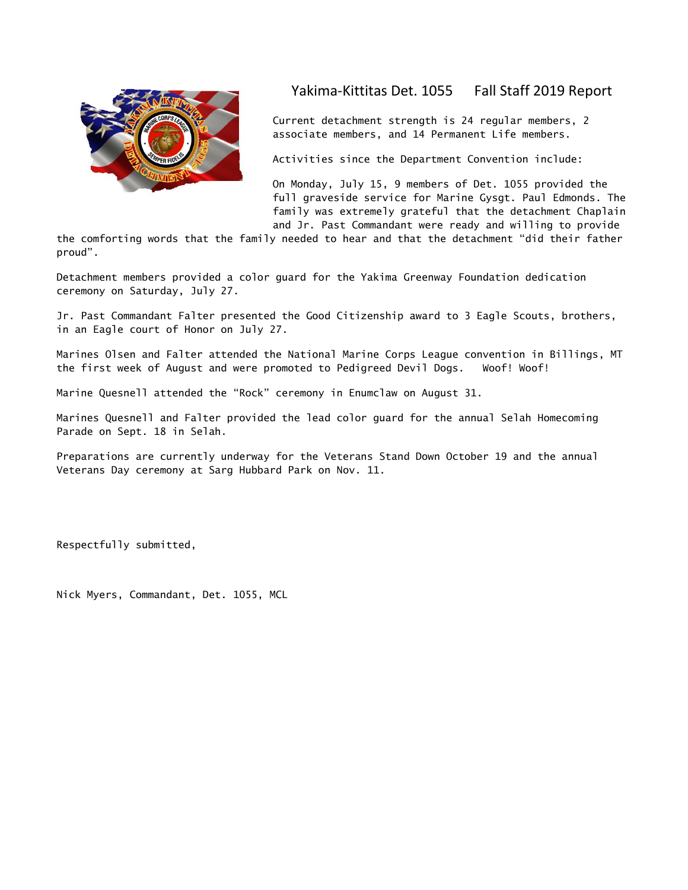

#### Yakima-Kittitas Det. 1055 Fall Staff 2019 Report

Current detachment strength is 24 regular members, 2 associate members, and 14 Permanent Life members.

Activities since the Department Convention include:

On Monday, July 15, 9 members of Det. 1055 provided the full graveside service for Marine Gysgt. Paul Edmonds. The family was extremely grateful that the detachment Chaplain and Jr. Past Commandant were ready and willing to provide

the comforting words that the family needed to hear and that the detachment "did their father proud".

Detachment members provided a color guard for the Yakima Greenway Foundation dedication ceremony on Saturday, July 27.

Jr. Past Commandant Falter presented the Good Citizenship award to 3 Eagle Scouts, brothers, in an Eagle court of Honor on July 27.

Marines Olsen and Falter attended the National Marine Corps League convention in Billings, MT the first week of August and were promoted to Pedigreed Devil Dogs. Woof! Woof!

Marine Quesnell attended the "Rock" ceremony in Enumclaw on August 31.

Marines Quesnell and Falter provided the lead color guard for the annual Selah Homecoming Parade on Sept. 18 in Selah.

Preparations are currently underway for the Veterans Stand Down October 19 and the annual Veterans Day ceremony at Sarg Hubbard Park on Nov. 11.

Respectfully submitted,

Nick Myers, Commandant, Det. 1055, MCL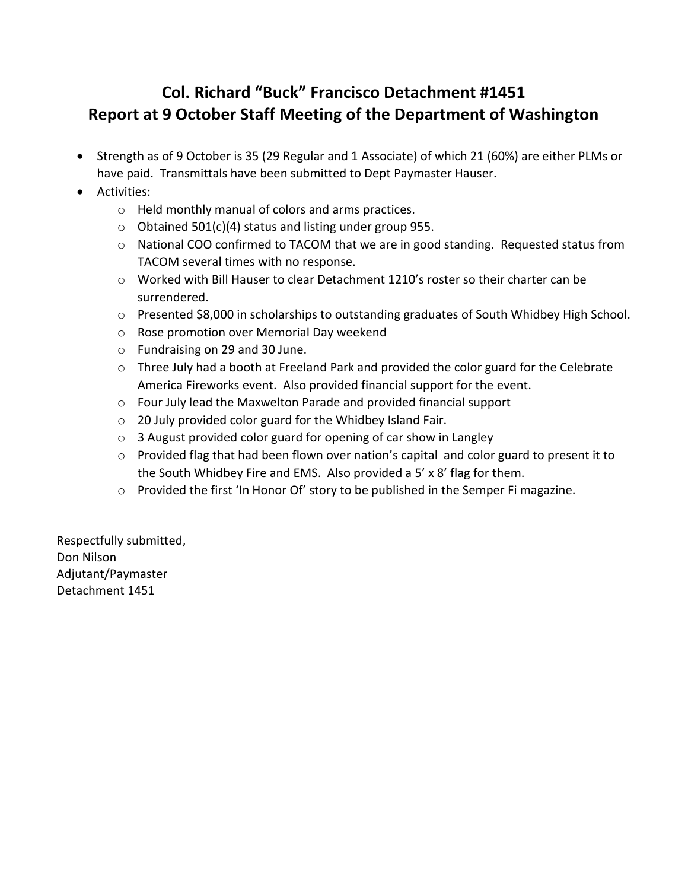# **Col. Richard "Buck" Francisco Detachment #1451 Report at 9 October Staff Meeting of the Department of Washington**

- Strength as of 9 October is 35 (29 Regular and 1 Associate) of which 21 (60%) are either PLMs or have paid. Transmittals have been submitted to Dept Paymaster Hauser.
- Activities:
	- o Held monthly manual of colors and arms practices.
	- $\circ$  Obtained 501(c)(4) status and listing under group 955.
	- o National COO confirmed to TACOM that we are in good standing. Requested status from TACOM several times with no response.
	- $\circ$  Worked with Bill Hauser to clear Detachment 1210's roster so their charter can be surrendered.
	- o Presented \$8,000 in scholarships to outstanding graduates of South Whidbey High School.
	- o Rose promotion over Memorial Day weekend
	- o Fundraising on 29 and 30 June.
	- $\circ$  Three July had a booth at Freeland Park and provided the color guard for the Celebrate America Fireworks event. Also provided financial support for the event.
	- o Four July lead the Maxwelton Parade and provided financial support
	- o 20 July provided color guard for the Whidbey Island Fair.
	- o 3 August provided color guard for opening of car show in Langley
	- o Provided flag that had been flown over nation's capital and color guard to present it to the South Whidbey Fire and EMS. Also provided a 5' x 8' flag for them.
	- o Provided the first 'In Honor Of' story to be published in the Semper Fi magazine.

Respectfully submitted, Don Nilson Adjutant/Paymaster Detachment 1451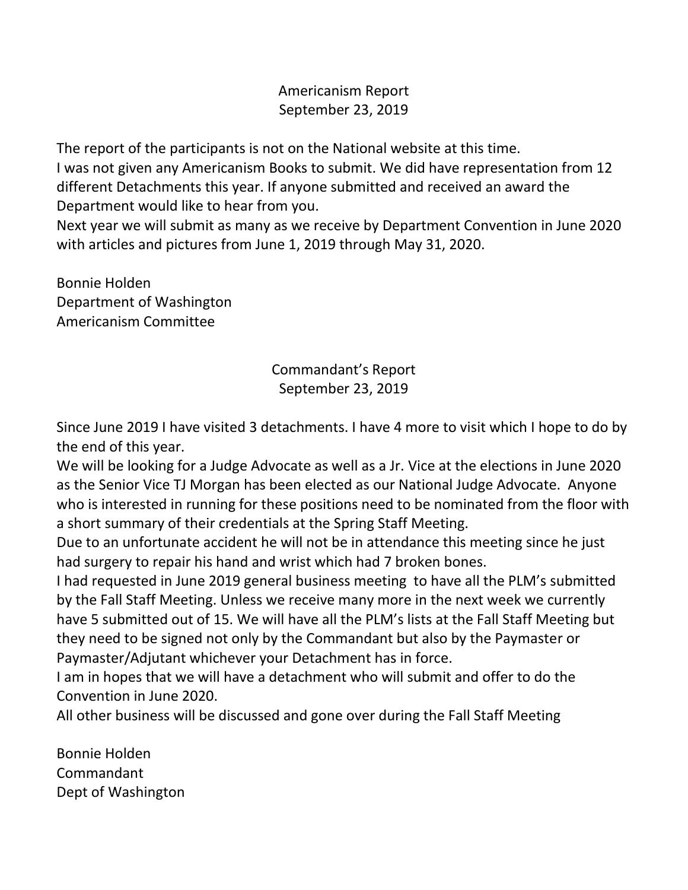# Americanism Report September 23, 2019

The report of the participants is not on the National website at this time. I was not given any Americanism Books to submit. We did have representation from 12 different Detachments this year. If anyone submitted and received an award the Department would like to hear from you.

Next year we will submit as many as we receive by Department Convention in June 2020 with articles and pictures from June 1, 2019 through May 31, 2020.

Bonnie Holden Department of Washington Americanism Committee

> Commandant's Report September 23, 2019

Since June 2019 I have visited 3 detachments. I have 4 more to visit which I hope to do by the end of this year.

We will be looking for a Judge Advocate as well as a Jr. Vice at the elections in June 2020 as the Senior Vice TJ Morgan has been elected as our National Judge Advocate. Anyone who is interested in running for these positions need to be nominated from the floor with a short summary of their credentials at the Spring Staff Meeting.

Due to an unfortunate accident he will not be in attendance this meeting since he just had surgery to repair his hand and wrist which had 7 broken bones.

I had requested in June 2019 general business meeting to have all the PLM's submitted by the Fall Staff Meeting. Unless we receive many more in the next week we currently have 5 submitted out of 15. We will have all the PLM's lists at the Fall Staff Meeting but they need to be signed not only by the Commandant but also by the Paymaster or Paymaster/Adjutant whichever your Detachment has in force.

I am in hopes that we will have a detachment who will submit and offer to do the Convention in June 2020.

All other business will be discussed and gone over during the Fall Staff Meeting

Bonnie Holden Commandant Dept of Washington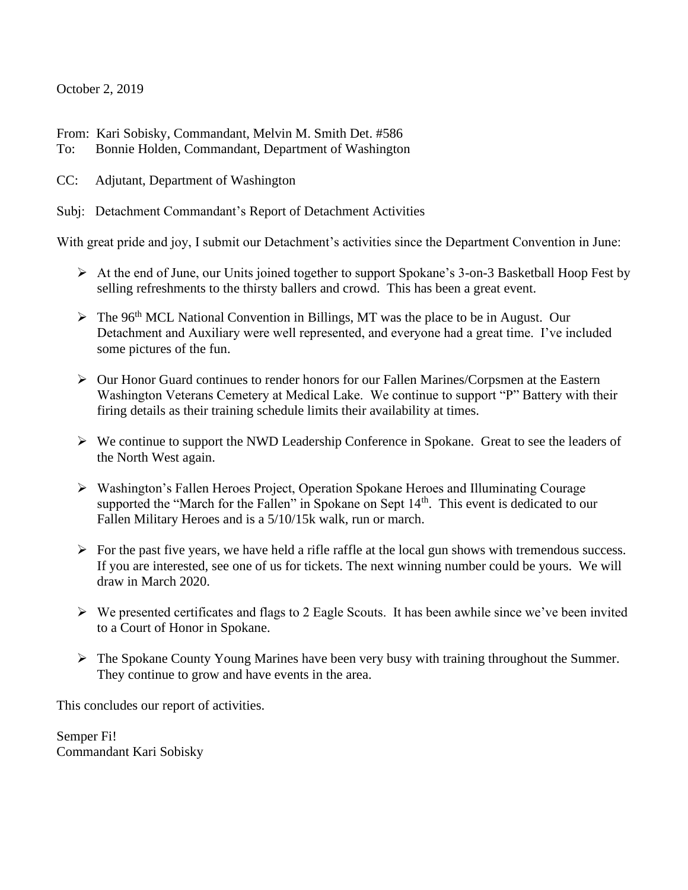#### October 2, 2019

From: Kari Sobisky, Commandant, Melvin M. Smith Det. #586

- To: Bonnie Holden, Commandant, Department of Washington
- CC: Adjutant, Department of Washington
- Subj: Detachment Commandant's Report of Detachment Activities

With great pride and joy, I submit our Detachment's activities since the Department Convention in June:

- ➢ At the end of June, our Units joined together to support Spokane's 3-on-3 Basketball Hoop Fest by selling refreshments to the thirsty ballers and crowd. This has been a great event.
- $\triangleright$  The 96<sup>th</sup> MCL National Convention in Billings, MT was the place to be in August. Our Detachment and Auxiliary were well represented, and everyone had a great time. I've included some pictures of the fun.
- ➢ Our Honor Guard continues to render honors for our Fallen Marines/Corpsmen at the Eastern Washington Veterans Cemetery at Medical Lake. We continue to support "P" Battery with their firing details as their training schedule limits their availability at times.
- ➢ We continue to support the NWD Leadership Conference in Spokane. Great to see the leaders of the North West again.
- ➢ Washington's Fallen Heroes Project, Operation Spokane Heroes and Illuminating Courage supported the "March for the Fallen" in Spokane on Sept  $14<sup>th</sup>$ . This event is dedicated to our Fallen Military Heroes and is a 5/10/15k walk, run or march.
- $\triangleright$  For the past five years, we have held a rifle raffle at the local gun shows with tremendous success. If you are interested, see one of us for tickets. The next winning number could be yours. We will draw in March 2020.
- ➢ We presented certificates and flags to 2 Eagle Scouts. It has been awhile since we've been invited to a Court of Honor in Spokane.
- ➢ The Spokane County Young Marines have been very busy with training throughout the Summer. They continue to grow and have events in the area.

This concludes our report of activities.

Semper Fi! Commandant Kari Sobisky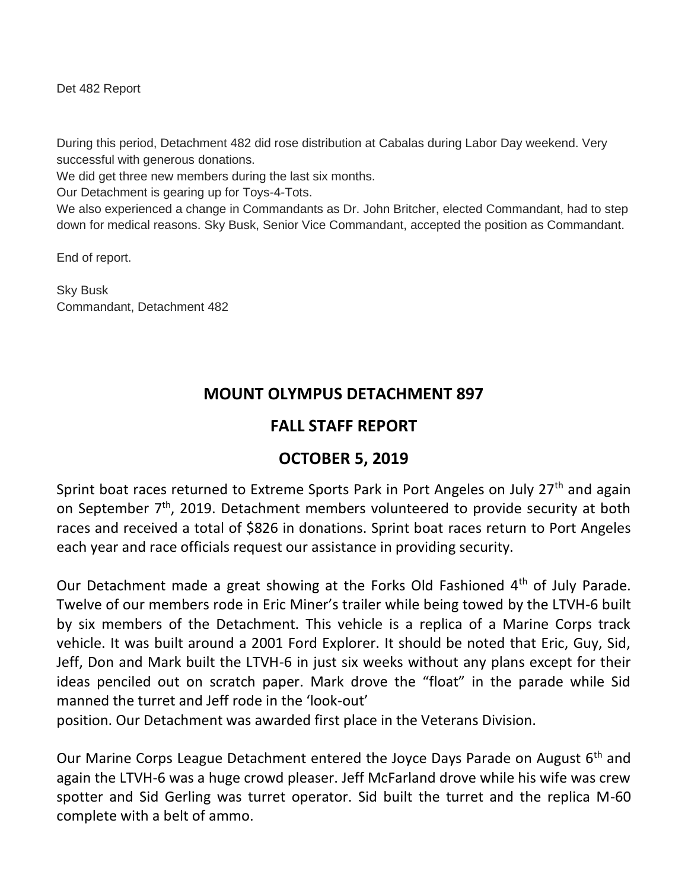Det 482 Report

During this period, Detachment 482 did rose distribution at Cabalas during Labor Day weekend. Very successful with generous donations.

We did get three new members during the last six months.

Our Detachment is gearing up for Toys-4-Tots.

We also experienced a change in Commandants as Dr. John Britcher, elected Commandant, had to step down for medical reasons. Sky Busk, Senior Vice Commandant, accepted the position as Commandant.

End of report.

Sky Busk Commandant, Detachment 482

# **MOUNT OLYMPUS DETACHMENT 897**

## **FALL STAFF REPORT**

# **OCTOBER 5, 2019**

Sprint boat races returned to Extreme Sports Park in Port Angeles on July 27<sup>th</sup> and again on September 7<sup>th</sup>, 2019. Detachment members volunteered to provide security at both races and received a total of \$826 in donations. Sprint boat races return to Port Angeles each year and race officials request our assistance in providing security.

Our Detachment made a great showing at the Forks Old Fashioned 4<sup>th</sup> of July Parade. Twelve of our members rode in Eric Miner's trailer while being towed by the LTVH-6 built by six members of the Detachment. This vehicle is a replica of a Marine Corps track vehicle. It was built around a 2001 Ford Explorer. It should be noted that Eric, Guy, Sid, Jeff, Don and Mark built the LTVH-6 in just six weeks without any plans except for their ideas penciled out on scratch paper. Mark drove the "float" in the parade while Sid manned the turret and Jeff rode in the 'look-out'

position. Our Detachment was awarded first place in the Veterans Division.

Our Marine Corps League Detachment entered the Joyce Days Parade on August  $6<sup>th</sup>$  and again the LTVH-6 was a huge crowd pleaser. Jeff McFarland drove while his wife was crew spotter and Sid Gerling was turret operator. Sid built the turret and the replica M-60 complete with a belt of ammo.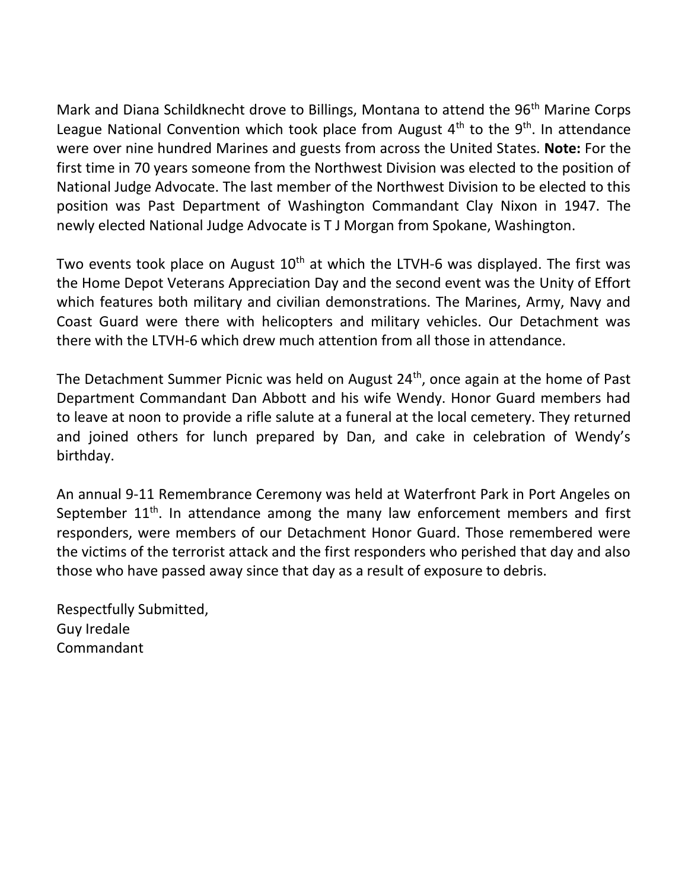Mark and Diana Schildknecht drove to Billings, Montana to attend the 96<sup>th</sup> Marine Corps League National Convention which took place from August  $4<sup>th</sup>$  to the  $9<sup>th</sup>$ . In attendance were over nine hundred Marines and guests from across the United States. **Note:** For the first time in 70 years someone from the Northwest Division was elected to the position of National Judge Advocate. The last member of the Northwest Division to be elected to this position was Past Department of Washington Commandant Clay Nixon in 1947. The newly elected National Judge Advocate is T J Morgan from Spokane, Washington.

Two events took place on August  $10<sup>th</sup>$  at which the LTVH-6 was displayed. The first was the Home Depot Veterans Appreciation Day and the second event was the Unity of Effort which features both military and civilian demonstrations. The Marines, Army, Navy and Coast Guard were there with helicopters and military vehicles. Our Detachment was there with the LTVH-6 which drew much attention from all those in attendance.

The Detachment Summer Picnic was held on August 24<sup>th</sup>, once again at the home of Past Department Commandant Dan Abbott and his wife Wendy. Honor Guard members had to leave at noon to provide a rifle salute at a funeral at the local cemetery. They returned and joined others for lunch prepared by Dan, and cake in celebration of Wendy's birthday.

An annual 9-11 Remembrance Ceremony was held at Waterfront Park in Port Angeles on September  $11<sup>th</sup>$ . In attendance among the many law enforcement members and first responders, were members of our Detachment Honor Guard. Those remembered were the victims of the terrorist attack and the first responders who perished that day and also those who have passed away since that day as a result of exposure to debris.

Respectfully Submitted, Guy Iredale Commandant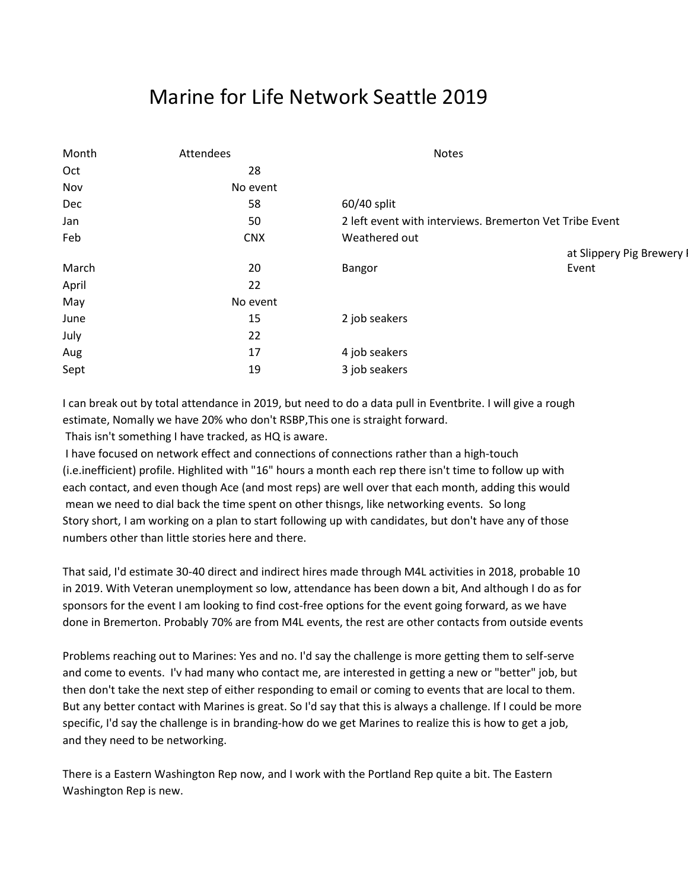# Marine for Life Network Seattle 2019

| Month | Attendees  | <b>Notes</b>                                            |                           |  |  |
|-------|------------|---------------------------------------------------------|---------------------------|--|--|
| Oct   | 28         |                                                         |                           |  |  |
| Nov   | No event   |                                                         |                           |  |  |
| Dec   | 58         | 60/40 split                                             |                           |  |  |
| Jan   | 50         | 2 left event with interviews. Bremerton Vet Tribe Event |                           |  |  |
| Feb   | <b>CNX</b> | Weathered out                                           |                           |  |  |
|       |            |                                                         | at Slippery Pig Brewery I |  |  |
| March | 20         | Bangor                                                  | Event                     |  |  |
| April | 22         |                                                         |                           |  |  |
| May   | No event   |                                                         |                           |  |  |
| June  | 15         | 2 job seakers                                           |                           |  |  |
| July  | 22         |                                                         |                           |  |  |
| Aug   | 17         | 4 job seakers                                           |                           |  |  |
| Sept  | 19         | 3 job seakers                                           |                           |  |  |
|       |            |                                                         |                           |  |  |

I can break out by total attendance in 2019, but need to do a data pull in Eventbrite. I will give a rough estimate, Nomally we have 20% who don't RSBP,This one is straight forward.

Thais isn't something I have tracked, as HQ is aware.

I have focused on network effect and connections of connections rather than a high-touch (i.e.inefficient) profile. Highlited with "16" hours a month each rep there isn't time to follow up with each contact, and even though Ace (and most reps) are well over that each month, adding this would mean we need to dial back the time spent on other thisngs, like networking events. So long Story short, I am working on a plan to start following up with candidates, but don't have any of those numbers other than little stories here and there.

That said, I'd estimate 30-40 direct and indirect hires made through M4L activities in 2018, probable 10 in 2019. With Veteran unemployment so low, attendance has been down a bit, And although I do as for sponsors for the event I am looking to find cost-free options for the event going forward, as we have done in Bremerton. Probably 70% are from M4L events, the rest are other contacts from outside events

Problems reaching out to Marines: Yes and no. I'd say the challenge is more getting them to self-serve and come to events. I'v had many who contact me, are interested in getting a new or "better" job, but then don't take the next step of either responding to email or coming to events that are local to them. But any better contact with Marines is great. So I'd say that this is always a challenge. If I could be more specific, I'd say the challenge is in branding-how do we get Marines to realize this is how to get a job, and they need to be networking.

There is a Eastern Washington Rep now, and I work with the Portland Rep quite a bit. The Eastern Washington Rep is new.